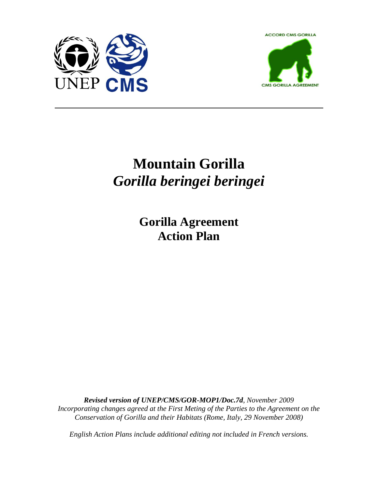



# **Mountain Gorilla**  *Gorilla beringei beringei*

**Gorilla Agreement Action Plan** 

*Revised version of UNEP/CMS/GOR-MOP1/Doc.7d, November 2009 Incorporating changes agreed at the First Meting of the Parties to the Agreement on the Conservation of Gorilla and their Habitats (Rome, Italy, 29 November 2008)*

*English Action Plans include additional editing not included in French versions.*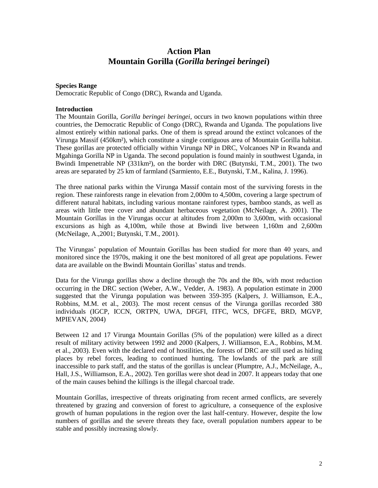## **Action Plan Mountain Gorilla (***Gorilla beringei beringei***)**

#### **Species Range**

Democratic Republic of Congo (DRC), Rwanda and Uganda.

#### **Introduction**

The Mountain Gorilla, *Gorilla beringei beringei*, occurs in two known populations within three countries, the Democratic Republic of Congo (DRC), Rwanda and Uganda. The populations live almost entirely within national parks. One of them is spread around the extinct volcanoes of the Virunga Massif (450km²), which constitute a single contiguous area of Mountain Gorilla habitat. These gorillas are protected officially within Virunga NP in DRC, Volcanoes NP in Rwanda and Mgahinga Gorilla NP in Uganda. The second population is found mainly in southwest Uganda, in Bwindi Impenetrable NP (331km²), on the border with DRC (Butynski, T.M., 2001). The two areas are separated by 25 km of farmland (Sarmiento, E.E., Butynski, T.M., Kalina, J. 1996).

The three national parks within the Virunga Massif contain most of the surviving forests in the region. These rainforests range in elevation from 2,000m to 4,500m, covering a large spectrum of different natural habitats, including various montane rainforest types, bamboo stands, as well as areas with little tree cover and abundant herbaceous vegetation (McNeilage, A. 2001). The Mountain Gorillas in the Virungas occur at altitudes from 2,000m to 3,600m, with occasional excursions as high as 4,100m, while those at Bwindi live between 1,160m and 2,600m (McNeilage, A.,2001; Butynski, T.M., 2001).

The Virungas" population of Mountain Gorillas has been studied for more than 40 years, and monitored since the 1970s, making it one the best monitored of all great ape populations. Fewer data are available on the Bwindi Mountain Gorillas' status and trends.

Data for the Virunga gorillas show a decline through the 70s and the 80s, with most reduction occurring in the DRC section (Weber, A.W., Vedder, A. 1983). A population estimate in 2000 suggested that the Virunga population was between 359-395 (Kalpers, J. Williamson, E.A., Robbins, M.M. et al., 2003). The most recent census of the Virunga gorillas recorded 380 individuals (IGCP, ICCN, ORTPN, UWA, DFGFI, ITFC, WCS, DFGFE, BRD, MGVP, MPIEVAN, 2004)

Between 12 and 17 Virunga Mountain Gorillas (5% of the population) were killed as a direct result of military activity between 1992 and 2000 (Kalpers, J. Williamson, E.A., Robbins, M.M. et al., 2003). Even with the declared end of hostilities, the forests of DRC are still used as hiding places by rebel forces, leading to continued hunting. The lowlands of the park are still inaccessible to park staff, and the status of the gorillas is unclear (Plumptre, A.J., McNeilage, A., Hall, J.S., Williamson, E.A., 2002). Ten gorillas were shot dead in 2007. It appears today that one of the main causes behind the killings is the illegal charcoal trade.

Mountain Gorillas, irrespective of threats originating from recent armed conflicts, are severely threatened by grazing and conversion of forest to agriculture, a consequence of the explosive growth of human populations in the region over the last half-century. However, despite the low numbers of gorillas and the severe threats they face, overall population numbers appear to be stable and possibly increasing slowly.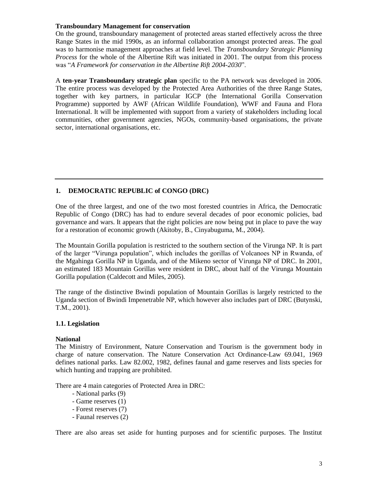#### **Transboundary Management for conservation**

On the ground, transboundary management of protected areas started effectively across the three Range States in the mid 1990s, as an informal collaboration amongst protected areas. The goal was to harmonise management approaches at field level. The *Transboundary Strategic Planning Process* for the whole of the Albertine Rift was initiated in 2001. The output from this process was "*A Framework for conservation in the Albertine Rift 2004-2030*".

A **ten-year Transboundary strategic plan** specific to the PA network was developed in 2006. The entire process was developed by the Protected Area Authorities of the three Range States, together with key partners, in particular IGCP (the International Gorilla Conservation Programme) supported by AWF (African Wildlife Foundation), WWF and Fauna and Flora International. It will be implemented with support from a variety of stakeholders including local communities, other government agencies, NGOs, community-based organisations, the private sector, international organisations, etc.

## **1. DEMOCRATIC REPUBLIC of CONGO (DRC)**

One of the three largest, and one of the two most forested countries in Africa, the Democratic Republic of Congo (DRC) has had to endure several decades of poor economic policies, bad governance and wars. It appears that the right policies are now being put in place to pave the way for a restoration of economic growth (Akitoby, B., Cinyabuguma, M., 2004).

The Mountain Gorilla population is restricted to the southern section of the Virunga NP. It is part of the larger "Virunga population", which includes the gorillas of Volcanoes NP in Rwanda, of the Mgahinga Gorilla NP in Uganda, and of the Mikeno sector of Virunga NP of DRC. In 2001, an estimated 183 Mountain Gorillas were resident in DRC, about half of the Virunga Mountain Gorilla population (Caldecott and Miles, 2005).

The range of the distinctive Bwindi population of Mountain Gorillas is largely restricted to the Uganda section of Bwindi Impenetrable NP, which however also includes part of DRC (Butynski, T.M., 2001).

## **1.1. Legislation**

#### **National**

The Ministry of Environment, Nature Conservation and Tourism is the government body in charge of nature conservation. The Nature Conservation Act Ordinance-Law 69.041, 1969 defines national parks. Law 82.002, 1982, defines faunal and game reserves and lists species for which hunting and trapping are prohibited.

There are 4 main categories of Protected Area in DRC:

- National parks (9)
- Game reserves (1)
- Forest reserves (7)
- Faunal reserves (2)

There are also areas set aside for hunting purposes and for scientific purposes. The Institut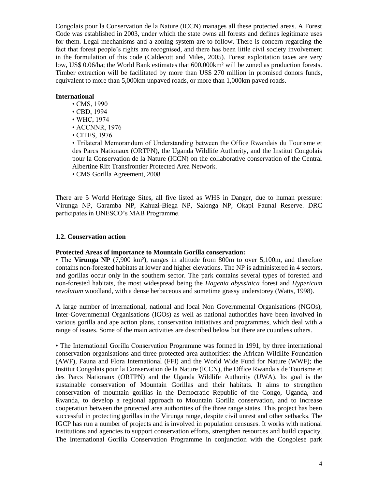Congolais pour la Conservation de la Nature (ICCN) manages all these protected areas. A Forest Code was established in 2003, under which the state owns all forests and defines legitimate uses for them. Legal mechanisms and a zoning system are to follow. There is concern regarding the fact that forest people"s rights are recognised, and there has been little civil society involvement in the formulation of this code (Caldecott and Miles, 2005). Forest exploitation taxes are very low, US\$ 0.06/ha; the World Bank estimates that 600,000 km<sup>2</sup> will be zoned as production forests. Timber extraction will be facilitated by more than US\$ 270 million in promised donors funds, equivalent to more than 5,000km unpaved roads, or more than 1,000km paved roads.

## **International**

- CMS, 1990
- CBD, 1994
- WHC, 1974
- ACCNNR, 1976
- CITES, 1976

• Trilateral Memorandum of Understanding between the Office Rwandais du Tourisme et des Parcs Nationaux (ORTPN), the Uganda Wildlife Authority, and the Institut Congolais pour la Conservation de la Nature (ICCN) on the collaborative conservation of the Central Albertine Rift Transfrontier Protected Area Network.

• CMS Gorilla Agreement, 2008

There are 5 World Heritage Sites, all five listed as WHS in Danger, due to human pressure: Virunga NP, Garamba NP, Kahuzi-Biega NP, Salonga NP, Okapi Faunal Reserve. DRC participates in UNESCO"s MAB Programme.

#### **1.2. Conservation action**

#### **Protected Areas of importance to Mountain Gorilla conservation:**

• The **Virunga NP** (7,900 km<sup>2</sup>), ranges in altitude from 800m to over 5,100m, and therefore contains non-forested habitats at lower and higher elevations. The NP is administered in 4 sectors, and gorillas occur only in the southern sector. The park contains several types of forested and non-forested habitats, the most widespread being the *Hagenia abyssinica* forest and *Hypericum revolutum* woodland, with a dense herbaceous and sometime grassy understorey (Watts, 1998).

A large number of international, national and local Non Governmental Organisations (NGOs), Inter-Governmental Organisations (IGOs) as well as national authorities have been involved in various gorilla and ape action plans, conservation initiatives and programmes, which deal with a range of issues. Some of the main activities are described below but there are countless others.

• The International Gorilla Conservation Programme was formed in 1991, by three international conservation organisations and three protected area authorities: the African Wildlife Foundation (AWF), Fauna and Flora International (FFI) and the World Wide Fund for Nature (WWF); the Institut Congolais pour la Conservation de la Nature (ICCN), the Office Rwandais de Tourisme et des Parcs Nationaux (ORTPN) and the Uganda Wildlife Authority (UWA). Its goal is the sustainable conservation of Mountain Gorillas and their habitats. It aims to strengthen conservation of mountain gorillas in the Democratic Republic of the Congo, Uganda, and Rwanda, to develop a regional approach to Mountain Gorilla conservation, and to increase cooperation between the protected area authorities of the three range states. This project has been successful in protecting gorillas in the Virunga range, despite civil unrest and other setbacks. The IGCP has run a number of projects and is involved in population censuses. It works with national institutions and agencies to support conservation efforts, strengthen resources and build capacity. The International Gorilla Conservation Programme in conjunction with the Congolese park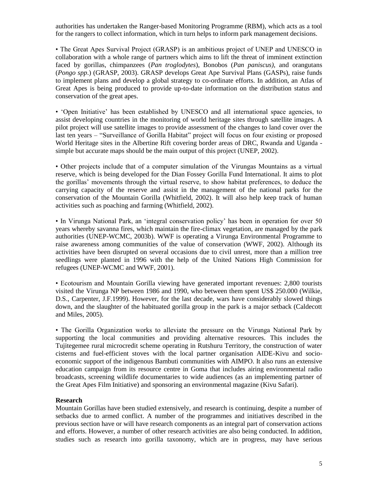authorities has undertaken the Ranger-based Monitoring Programme (RBM), which acts as a tool for the rangers to collect information, which in turn helps to inform park management decisions.

• The Great Apes Survival Project (GRASP) is an ambitious project of UNEP and UNESCO in collaboration with a whole range of partners which aims to lift the threat of imminent extinction faced by gorillas, chimpanzees (*Pan troglodytes*), Bonobos (*Pan paniscus)*, and orangutans (*Pongo spp*.) (GRASP, 2003). GRASP develops Great Ape Survival Plans (GASPs), raise funds to implement plans and develop a global strategy to co-ordinate efforts. In addition, an Atlas of Great Apes is being produced to provide up-to-date information on the distribution status and conservation of the great apes.

• "Open Initiative" has been established by UNESCO and all international space agencies, to assist developing countries in the monitoring of world heritage sites through satellite images. A pilot project will use satellite images to provide assessment of the changes to land cover over the last ten years – "Surveillance of Gorilla Habitat" project will focus on four existing or proposed World Heritage sites in the Albertine Rift covering border areas of DRC, Rwanda and Uganda simple but accurate maps should be the main output of this project (UNEP, 2002).

• Other projects include that of a computer simulation of the Virungas Mountains as a virtual reserve, which is being developed for the Dian Fossey Gorilla Fund International. It aims to plot the gorillas" movements through the virtual reserve, to show habitat preferences, to deduce the carrying capacity of the reserve and assist in the management of the national parks for the conservation of the Mountain Gorilla (Whitfield, 2002). It will also help keep track of human activities such as poaching and farming (Whitfield, 2002).

• In Virunga National Park, an "integral conservation policy" has been in operation for over 50 years whereby savanna fires, which maintain the fire-climax vegetation, are managed by the park authorities (UNEP-WCMC, 2003b). WWF is operating a Virunga Environmental Programme to raise awareness among communities of the value of conservation (WWF, 2002). Although its activities have been disrupted on several occasions due to civil unrest, more than a million tree seedlings were planted in 1996 with the help of the United Nations High Commission for refugees (UNEP-WCMC and WWF, 2001).

• Ecotourism and Mountain Gorilla viewing have generated important revenues: 2,800 tourists visited the Virunga NP between 1986 and 1990, who between them spent US\$ 250.000 (Wilkie, D.S., Carpenter, J.F.1999). However, for the last decade, wars have considerably slowed things down, and the slaughter of the habituated gorilla group in the park is a major setback (Caldecott and Miles, 2005).

• The Gorilla Organization works to alleviate the pressure on the Virunga National Park by supporting the local communities and providing alternative resources. This includes the Tujitegemee rural microcredit scheme operating in Rutshuru Territory, the construction of water cisterns and fuel-efficient stoves with the local partner organisation AIDE-Kivu and socioeconomic support of the indigenous Bambuti communities with AIMPO. It also runs an extensive education campaign from its resource centre in Goma that includes airing environmental radio broadcasts, screening wildlife documentaries to wide audiences (as an implementing partner of the Great Apes Film Initiative) and sponsoring an environmental magazine (Kivu Safari).

## **Research**

Mountain Gorillas have been studied extensively, and research is continuing, despite a number of setbacks due to armed conflict. A number of the programmes and initiatives described in the previous section have or will have research components as an integral part of conservation actions and efforts. However, a number of other research activities are also being conducted. In addition, studies such as research into gorilla taxonomy, which are in progress, may have serious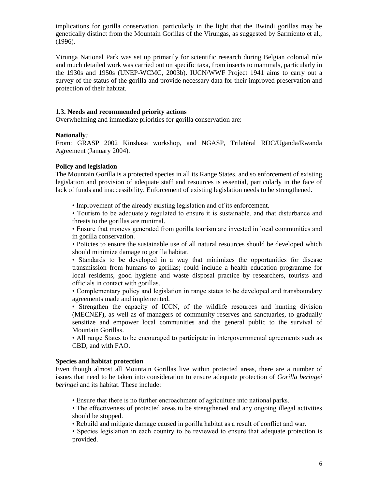implications for gorilla conservation, particularly in the light that the Bwindi gorillas may be genetically distinct from the Mountain Gorillas of the Virungas, as suggested by Sarmiento et al., (1996).

Virunga National Park was set up primarily for scientific research during Belgian colonial rule and much detailed work was carried out on specific taxa, from insects to mammals, particularly in the 1930s and 1950s (UNEP-WCMC, 2003b). IUCN/WWF Project 1941 aims to carry out a survey of the status of the gorilla and provide necessary data for their improved preservation and protection of their habitat.

## **1.3. Needs and recommended priority actions**

Overwhelming and immediate priorities for gorilla conservation are:

## **Nationally***:*

From: GRASP 2002 Kinshasa workshop, and NGASP, Trilatéral RDC/Uganda/Rwanda Agreement (January 2004).

## **Policy and legislation**

The Mountain Gorilla is a protected species in all its Range States, and so enforcement of existing legislation and provision of adequate staff and resources is essential, particularly in the face of lack of funds and inaccessibility. Enforcement of existing legislation needs to be strengthened.

• Improvement of the already existing legislation and of its enforcement.

• Tourism to be adequately regulated to ensure it is sustainable, and that disturbance and threats to the gorillas are minimal.

• Ensure that moneys generated from gorilla tourism are invested in local communities and in gorilla conservation.

• Policies to ensure the sustainable use of all natural resources should be developed which should minimize damage to gorilla habitat.

• Standards to be developed in a way that minimizes the opportunities for disease transmission from humans to gorillas; could include a health education programme for local residents, good hygiene and waste disposal practice by researchers, tourists and officials in contact with gorillas.

• Complementary policy and legislation in range states to be developed and transboundary agreements made and implemented.

• Strengthen the capacity of ICCN, of the wildlife resources and hunting division (MECNEF), as well as of managers of community reserves and sanctuaries, to gradually sensitize and empower local communities and the general public to the survival of Mountain Gorillas.

• All range States to be encouraged to participate in intergovernmental agreements such as CBD, and with FAO.

## **Species and habitat protection**

Even though almost all Mountain Gorillas live within protected areas, there are a number of issues that need to be taken into consideration to ensure adequate protection of *Gorilla beringei beringei* and its habitat. These include:

- Ensure that there is no further encroachment of agriculture into national parks.
- The effectiveness of protected areas to be strengthened and any ongoing illegal activities should be stopped.
- Rebuild and mitigate damage caused in gorilla habitat as a result of conflict and war.

• Species legislation in each country to be reviewed to ensure that adequate protection is provided.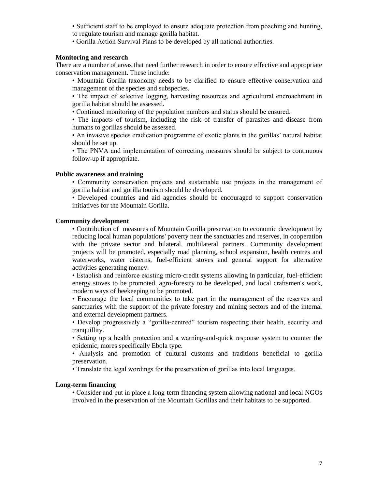- Sufficient staff to be employed to ensure adequate protection from poaching and hunting, to regulate tourism and manage gorilla habitat.
- Gorilla Action Survival Plans to be developed by all national authorities.

## **Monitoring and research**

There are a number of areas that need further research in order to ensure effective and appropriate conservation management. These include:

• Mountain Gorilla taxonomy needs to be clarified to ensure effective conservation and management of the species and subspecies.

• The impact of selective logging, harvesting resources and agricultural encroachment in gorilla habitat should be assessed.

• Continued monitoring of the population numbers and status should be ensured.

• The impacts of tourism, including the risk of transfer of parasites and disease from humans to gorillas should be assessed.

• An invasive species eradication programme of exotic plants in the gorillas' natural habitat should be set up.

• The PNVA and implementation of correcting measures should be subject to continuous follow-up if appropriate.

## **Public awareness and training**

• Community conservation projects and sustainable use projects in the management of gorilla habitat and gorilla tourism should be developed.

• Developed countries and aid agencies should be encouraged to support conservation initiatives for the Mountain Gorilla.

#### **Community development**

• Contribution of measures of Mountain Gorilla preservation to economic development by reducing local human populations' poverty near the sanctuaries and reserves, in cooperation with the private sector and bilateral, multilateral partners. Community development projects will be promoted, especially road planning, school expansion, health centres and waterworks, water cisterns, fuel-efficient stoves and general support for alternative activities generating money.

• Establish and reinforce existing micro-credit systems allowing in particular, fuel-efficient energy stoves to be promoted, agro-forestry to be developed, and local craftsmen's work, modern ways of beekeeping to be promoted.

• Encourage the local communities to take part in the management of the reserves and sanctuaries with the support of the private forestry and mining sectors and of the internal and external development partners.

• Develop progressively a "gorilla-centred" tourism respecting their health, security and tranquillity.

• Setting up a health protection and a warning-and-quick response system to counter the epidemic, mores specifically Ebola type.

• Analysis and promotion of cultural customs and traditions beneficial to gorilla preservation.

• Translate the legal wordings for the preservation of gorillas into local languages.

## **Long-term financing**

• Consider and put in place a long-term financing system allowing national and local NGOs involved in the preservation of the Mountain Gorillas and their habitats to be supported.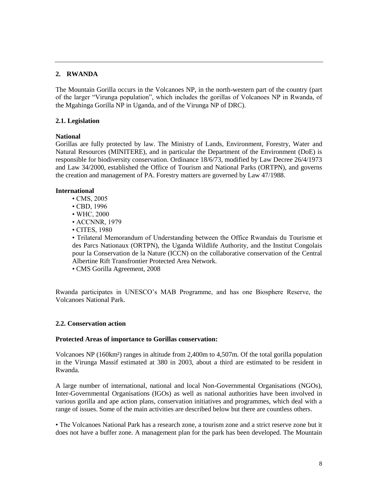## **2. RWANDA**

The Mountain Gorilla occurs in the Volcanoes NP, in the north-western part of the country (part of the larger "Virunga population", which includes the gorillas of Volcanoes NP in Rwanda, of the Mgahinga Gorilla NP in Uganda, and of the Virunga NP of DRC).

## **2.1. Legislation**

## **National**

Gorillas are fully protected by law. The Ministry of Lands, Environment, Forestry, Water and Natural Resources (MINITERE), and in particular the Department of the Environment (DoE) is responsible for biodiversity conservation. Ordinance 18/6/73, modified by Law Decree 26/4/1973 and Law 34/2000, established the Office of Tourism and National Parks (ORTPN), and governs the creation and management of PA. Forestry matters are governed by Law 47/1988.

## **International**

- CMS, 2005
- CBD, 1996
- WHC, 2000
- ACCNNR, 1979
- CITES, 1980

• Trilateral Memorandum of Understanding between the Office Rwandais du Tourisme et des Parcs Nationaux (ORTPN), the Uganda Wildlife Authority, and the Institut Congolais pour la Conservation de la Nature (ICCN) on the collaborative conservation of the Central Albertine Rift Transfrontier Protected Area Network.

• CMS Gorilla Agreement, 2008

Rwanda participates in UNESCO"s MAB Programme, and has one Biosphere Reserve, the Volcanoes National Park.

## **2.2. Conservation action**

## **Protected Areas of importance to Gorillas conservation:**

Volcanoes NP (160km²) ranges in altitude from 2,400m to 4,507m. Of the total gorilla population in the Virunga Massif estimated at 380 in 2003, about a third are estimated to be resident in Rwanda.

A large number of international, national and local Non-Governmental Organisations (NGOs), Inter-Governmental Organisations (IGOs) as well as national authorities have been involved in various gorilla and ape action plans, conservation initiatives and programmes, which deal with a range of issues. Some of the main activities are described below but there are countless others.

• The Volcanoes National Park has a research zone, a tourism zone and a strict reserve zone but it does not have a buffer zone. A management plan for the park has been developed. The Mountain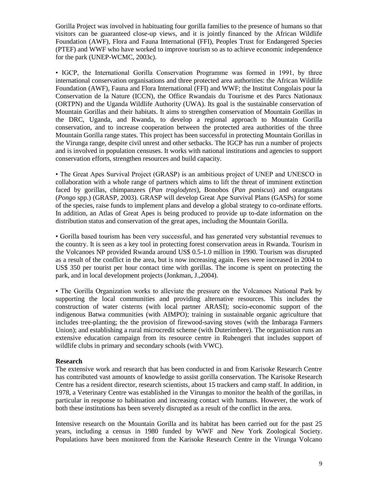Gorilla Project was involved in habituating four gorilla families to the presence of humans so that visitors can be guaranteed close-up views, and it is jointly financed by the African Wildlife Foundation (AWF), Flora and Fauna International (FFI), Peoples Trust for Endangered Species (PTEF) and WWF who have worked to improve tourism so as to achieve economic independence for the park (UNEP-WCMC, 2003c).

• IGCP, the International Gorilla Conservation Programme was formed in 1991, by three international conservation organisations and three protected area authorities: the African Wildlife Foundation (AWF), Fauna and Flora International (FFI) and WWF; the Institut Congolais pour la Conservation de la Nature (ICCN), the Office Rwandais du Tourisme et des Parcs Nationaux (ORTPN) and the Uganda Wildlife Authority (UWA). Its goal is the sustainable conservation of Mountain Gorillas and their habitats. It aims to strengthen conservation of Mountain Gorillas in the DRC, Uganda, and Rwanda, to develop a regional approach to Mountain Gorilla conservation, and to increase cooperation between the protected area authorities of the three Mountain Gorilla range states. This project has been successful in protecting Mountain Gorillas in the Virunga range, despite civil unrest and other setbacks. The IGCP has run a number of projects and is involved in population censuses. It works with national institutions and agencies to support conservation efforts, strengthen resources and build capacity.

• The Great Apes Survival Project (GRASP) is an ambitious project of UNEP and UNESCO in collaboration with a whole range of partners which aims to lift the threat of imminent extinction faced by gorillas, chimpanzees (*Pan troglodytes*), Bonobos (*Pan paniscus*) and orangutans (*Pongo* spp.) (GRASP, 2003). GRASP will develop Great Ape Survival Plans (GASPs) for some of the species, raise funds to implement plans and develop a global strategy to co-ordinate efforts. In addition, an Atlas of Great Apes is being produced to provide up to-date information on the distribution status and conservation of the great apes, including the Mountain Gorilla.

• Gorilla based tourism has been very successful, and has generated very substantial revenues to the country. It is seen as a key tool in protecting forest conservation areas in Rwanda. Tourism in the Volcanoes NP provided Rwanda around US\$ 0.5-1.0 million in 1990. Tourism was disrupted as a result of the conflict in the area, but is now increasing again. Fees were increased in 2004 to US\$ 350 per tourist per hour contact time with gorillas. The income is spent on protecting the park, and in local development projects (Jonkman, J.,2004).

• The Gorilla Organization works to alleviate the pressure on the Volcanoes National Park by supporting the local communities and providing alternative resources. This includes the construction of water cisterns (with local partner ARASI); socio-economic support of the indigenous Batwa communities (with AIMPO); training in sustainable organic agriculture that includes tree-planting; the the provision of firewood-saving stoves (with the Imbaraga Farmers Union); and establishing a rural microcredit scheme (with Duterimbere). The organisation runs an extensive education campaign from its resource centre in Ruhengeri that includes support of wildlife clubs in primary and secondary schools (with VWC).

## **Research**

The extensive work and research that has been conducted in and from Karisoke Research Centre has contributed vast amounts of knowledge to assist gorilla conservation. The Karisoke Research Centre has a resident director, research scientists, about 15 trackers and camp staff. In addition, in 1978, a Veterinary Centre was established in the Virungas to monitor the health of the gorillas, in particular in response to habituation and increasing contact with humans. However, the work of both these institutions has been severely disrupted as a result of the conflict in the area.

Intensive research on the Mountain Gorilla and its habitat has been carried out for the past 25 years, including a census in 1980 funded by WWF and New York Zoological Society. Populations have been monitored from the Karisoke Research Centre in the Virunga Volcano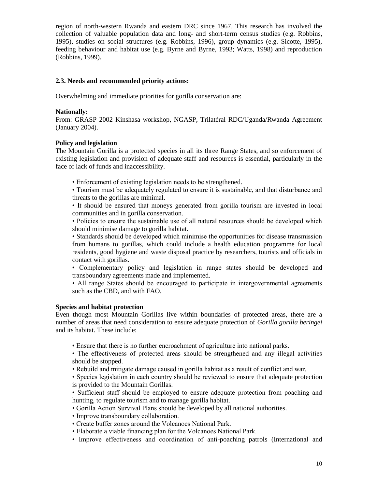region of north-western Rwanda and eastern DRC since 1967. This research has involved the collection of valuable population data and long- and short-term census studies (e.g. Robbins, 1995), studies on social structures (e.g. Robbins, 1996), group dynamics (e.g. Sicotte, 1995), feeding behaviour and habitat use (e.g. Byrne and Byrne, 1993; Watts, 1998) and reproduction (Robbins, 1999).

## **2.3. Needs and recommended priority actions:**

Overwhelming and immediate priorities for gorilla conservation are:

## **Nationally:**

From: GRASP 2002 Kinshasa workshop, NGASP, Trilatéral RDC/Uganda/Rwanda Agreement (January 2004).

## **Policy and legislation**

The Mountain Gorilla is a protected species in all its three Range States, and so enforcement of existing legislation and provision of adequate staff and resources is essential, particularly in the face of lack of funds and inaccessibility.

• Enforcement of existing legislation needs to be strengthened.

• Tourism must be adequately regulated to ensure it is sustainable, and that disturbance and threats to the gorillas are minimal.

• It should be ensured that moneys generated from gorilla tourism are invested in local communities and in gorilla conservation.

• Policies to ensure the sustainable use of all natural resources should be developed which should minimise damage to gorilla habitat.

• Standards should be developed which minimise the opportunities for disease transmission from humans to gorillas, which could include a health education programme for local residents, good hygiene and waste disposal practice by researchers, tourists and officials in contact with gorillas.

• Complementary policy and legislation in range states should be developed and transboundary agreements made and implemented.

• All range States should be encouraged to participate in intergovernmental agreements such as the CBD, and with FAO.

## **Species and habitat protection**

Even though most Mountain Gorillas live within boundaries of protected areas, there are a number of areas that need consideration to ensure adequate protection of *Gorilla gorilla beringei* and its habitat. These include:

• Ensure that there is no further encroachment of agriculture into national parks.

• The effectiveness of protected areas should be strengthened and any illegal activities should be stopped.

• Rebuild and mitigate damage caused in gorilla habitat as a result of conflict and war.

• Species legislation in each country should be reviewed to ensure that adequate protection is provided to the Mountain Gorillas.

• Sufficient staff should be employed to ensure adequate protection from poaching and hunting, to regulate tourism and to manage gorilla habitat.

- Gorilla Action Survival Plans should be developed by all national authorities.
- Improve transboundary collaboration.
- Create buffer zones around the Volcanoes National Park.
- Elaborate a viable financing plan for the Volcanoes National Park.
- Improve effectiveness and coordination of anti-poaching patrols (International and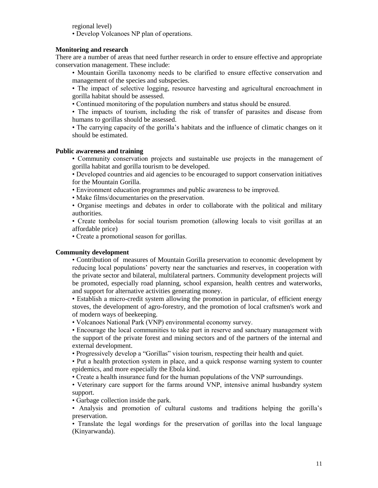regional level)

• Develop Volcanoes NP plan of operations.

## **Monitoring and research**

There are a number of areas that need further research in order to ensure effective and appropriate conservation management. These include:

• Mountain Gorilla taxonomy needs to be clarified to ensure effective conservation and management of the species and subspecies.

• The impact of selective logging, resource harvesting and agricultural encroachment in gorilla habitat should be assessed.

• Continued monitoring of the population numbers and status should be ensured.

• The impacts of tourism, including the risk of transfer of parasites and disease from humans to gorillas should be assessed.

• The carrying capacity of the gorilla"s habitats and the influence of climatic changes on it should be estimated.

## **Public awareness and training**

• Community conservation projects and sustainable use projects in the management of gorilla habitat and gorilla tourism to be developed.

• Developed countries and aid agencies to be encouraged to support conservation initiatives for the Mountain Gorilla.

• Environment education programmes and public awareness to be improved.

• Make films/documentaries on the preservation.

• Organise meetings and debates in order to collaborate with the political and military authorities.

• Create tombolas for social tourism promotion (allowing locals to visit gorillas at an affordable price)

• Create a promotional season for gorillas.

## **Community development**

• Contribution of measures of Mountain Gorilla preservation to economic development by reducing local populations" poverty near the sanctuaries and reserves, in cooperation with the private sector and bilateral, multilateral partners. Community development projects will be promoted, especially road planning, school expansion, health centres and waterworks, and support for alternative activities generating money.

• Establish a micro-credit system allowing the promotion in particular, of efficient energy stoves, the development of agro-forestry, and the promotion of local craftsmen's work and of modern ways of beekeeping.

• Volcanoes National Park (VNP) environmental economy survey.

• Encourage the local communities to take part in reserve and sanctuary management with the support of the private forest and mining sectors and of the partners of the internal and external development.

• Progressively develop a "Gorillas" vision tourism, respecting their health and quiet.

• Put a health protection system in place, and a quick response warning system to counter epidemics, and more especially the Ebola kind.

• Create a health insurance fund for the human populations of the VNP surroundings.

• Veterinary care support for the farms around VNP, intensive animal husbandry system support.

• Garbage collection inside the park.

• Analysis and promotion of cultural customs and traditions helping the gorilla"s preservation.

• Translate the legal wordings for the preservation of gorillas into the local language (Kinyarwanda).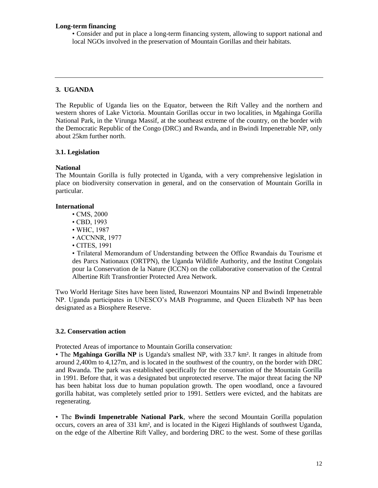#### **Long-term financing**

• Consider and put in place a long-term financing system, allowing to support national and local NGOs involved in the preservation of Mountain Gorillas and their habitats.

## **3. UGANDA**

The Republic of Uganda lies on the Equator, between the Rift Valley and the northern and western shores of Lake Victoria. Mountain Gorillas occur in two localities, in Mgahinga Gorilla National Park, in the Virunga Massif, at the southeast extreme of the country, on the border with the Democratic Republic of the Congo (DRC) and Rwanda, and in Bwindi Impenetrable NP, only about 25km further north.

#### **3.1. Legislation**

#### **National**

The Mountain Gorilla is fully protected in Uganda, with a very comprehensive legislation in place on biodiversity conservation in general, and on the conservation of Mountain Gorilla in particular.

#### **International**

- CMS, 2000
- CBD, 1993
- WHC, 1987
- ACCNNR, 1977
- CITES, 1991

• Trilateral Memorandum of Understanding between the Office Rwandais du Tourisme et des Parcs Nationaux (ORTPN), the Uganda Wildlife Authority, and the Institut Congolais pour la Conservation de la Nature (ICCN) on the collaborative conservation of the Central Albertine Rift Transfrontier Protected Area Network.

Two World Heritage Sites have been listed, Ruwenzori Mountains NP and Bwindi Impenetrable NP. Uganda participates in UNESCO"s MAB Programme, and Queen Elizabeth NP has been designated as a Biosphere Reserve.

#### **3.2. Conservation action**

Protected Areas of importance to Mountain Gorilla conservation:

• The **Mgahinga Gorilla NP** is Uganda's smallest NP, with 33.7 km². It ranges in altitude from around 2,400m to 4,127m, and is located in the southwest of the country, on the border with DRC and Rwanda. The park was established specifically for the conservation of the Mountain Gorilla in 1991. Before that, it was a designated but unprotected reserve. The major threat facing the NP has been habitat loss due to human population growth. The open woodland, once a favoured gorilla habitat, was completely settled prior to 1991. Settlers were evicted, and the habitats are regenerating.

• The **Bwindi Impenetrable National Park**, where the second Mountain Gorilla population occurs, covers an area of 331 km², and is located in the Kigezi Highlands of southwest Uganda, on the edge of the Albertine Rift Valley, and bordering DRC to the west. Some of these gorillas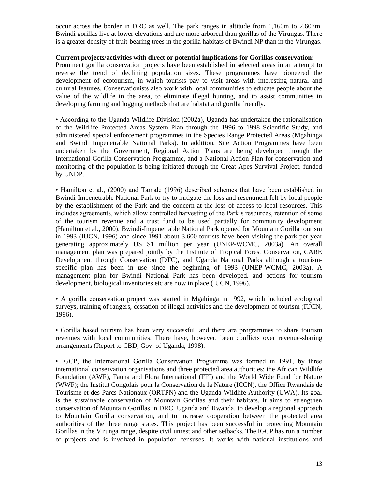occur across the border in DRC as well. The park ranges in altitude from 1,160m to 2,607m. Bwindi gorillas live at lower elevations and are more arboreal than gorillas of the Virungas. There is a greater density of fruit-bearing trees in the gorilla habitats of Bwindi NP than in the Virungas.

## **Current projects/activities with direct or potential implications for Gorillas conservation:**

Prominent gorilla conservation projects have been established in selected areas in an attempt to reverse the trend of declining population sizes. These programmes have pioneered the development of ecotourism, in which tourists pay to visit areas with interesting natural and cultural features. Conservationists also work with local communities to educate people about the value of the wildlife in the area, to eliminate illegal hunting, and to assist communities in developing farming and logging methods that are habitat and gorilla friendly.

• According to the Uganda Wildlife Division (2002a), Uganda has undertaken the rationalisation of the Wildlife Protected Areas System Plan through the 1996 to 1998 Scientific Study, and administered special enforcement programmes in the Species Range Protected Areas (Mgahinga and Bwindi Impenetrable National Parks). In addition, Site Action Programmes have been undertaken by the Government, Regional Action Plans are being developed through the International Gorilla Conservation Programme, and a National Action Plan for conservation and monitoring of the population is being initiated through the Great Apes Survival Project, funded by UNDP.

• Hamilton et al., (2000) and Tamale (1996) described schemes that have been established in Bwindi-Impenetrable National Park to try to mitigate the loss and resentment felt by local people by the establishment of the Park and the concern at the loss of access to local resources. This includes agreements, which allow controlled harvesting of the Park"s resources, retention of some of the tourism revenue and a trust fund to be used partially for community development (Hamilton et al., 2000). Bwindi-Impenetrable National Park opened for Mountain Gorilla tourism in 1993 (IUCN, 1996) and since 1991 about 3,600 tourists have been visiting the park per year generating approximately US \$1 million per year (UNEP-WCMC, 2003a). An overall management plan was prepared jointly by the Institute of Tropical Forest Conservation, CARE Development through Conservation (DTC), and Uganda National Parks although a tourismspecific plan has been in use since the beginning of 1993 (UNEP-WCMC, 2003a). A management plan for Bwindi National Park has been developed, and actions for tourism development, biological inventories etc are now in place (IUCN, 1996).

• A gorilla conservation project was started in Mgahinga in 1992, which included ecological surveys, training of rangers, cessation of illegal activities and the development of tourism (IUCN, 1996).

• Gorilla based tourism has been very successful, and there are programmes to share tourism revenues with local communities. There have, however, been conflicts over revenue-sharing arrangements (Report to CBD, Gov. of Uganda, 1998).

• IGCP, the International Gorilla Conservation Programme was formed in 1991, by three international conservation organisations and three protected area authorities: the African Wildlife Foundation (AWF), Fauna and Flora International (FFI) and the World Wide Fund for Nature (WWF); the Institut Congolais pour la Conservation de la Nature (ICCN), the Office Rwandais de Tourisme et des Parcs Nationaux (ORTPN) and the Uganda Wildlife Authority (UWA). Its goal is the sustainable conservation of Mountain Gorillas and their habitats. It aims to strengthen conservation of Mountain Gorillas in DRC, Uganda and Rwanda, to develop a regional approach to Mountain Gorilla conservation, and to increase cooperation between the protected area authorities of the three range states. This project has been successful in protecting Mountain Gorillas in the Virunga range, despite civil unrest and other setbacks. The IGCP has run a number of projects and is involved in population censuses. It works with national institutions and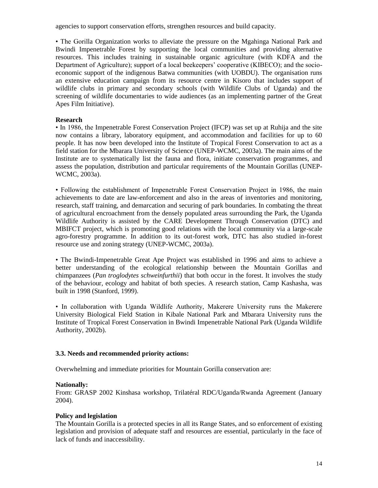agencies to support conservation efforts, strengthen resources and build capacity.

• The Gorilla Organization works to alleviate the pressure on the Mgahinga National Park and Bwindi Impenetrable Forest by supporting the local communities and providing alternative resources. This includes training in sustainable organic agriculture (with KDFA and the Department of Agriculture); support of a local beekeepers' cooperative (KIBECO); and the socioeconomic support of the indigenous Batwa communities (with UOBDU). The organisation runs an extensive education campaign from its resource centre in Kisoro that includes support of wildlife clubs in primary and secondary schools (with Wildlife Clubs of Uganda) and the screening of wildlife documentaries to wide audiences (as an implementing partner of the Great Apes Film Initiative).

## **Research**

• In 1986, the Impenetrable Forest Conservation Project (IFCP) was set up at Ruhija and the site now contains a library, laboratory equipment, and accommodation and facilities for up to 60 people. It has now been developed into the Institute of Tropical Forest Conservation to act as a field station for the Mbarara University of Science (UNEP-WCMC, 2003a). The main aims of the Institute are to systematically list the fauna and flora, initiate conservation programmes, and assess the population, distribution and particular requirements of the Mountain Gorillas (UNEP-WCMC, 2003a).

• Following the establishment of Impenetrable Forest Conservation Project in 1986, the main achievements to date are law-enforcement and also in the areas of inventories and monitoring, research, staff training, and demarcation and securing of park boundaries. In combating the threat of agricultural encroachment from the densely populated areas surrounding the Park, the Uganda Wildlife Authority is assisted by the CARE Development Through Conservation (DTC) and MBIFCT project, which is promoting good relations with the local community via a large-scale agro-forestry programme. In addition to its out-forest work, DTC has also studied in-forest resource use and zoning strategy (UNEP-WCMC, 2003a).

• The Bwindi-Impenetrable Great Ape Project was established in 1996 and aims to achieve a better understanding of the ecological relationship between the Mountain Gorillas and chimpanzees (*Pan troglodytes schweinfurthii*) that both occur in the forest. It involves the study of the behaviour, ecology and habitat of both species. A research station, Camp Kashasha, was built in 1998 (Stanford, 1999).

• In collaboration with Uganda Wildlife Authority, Makerere University runs the Makerere University Biological Field Station in Kibale National Park and Mbarara University runs the Institute of Tropical Forest Conservation in Bwindi Impenetrable National Park (Uganda Wildlife Authority, 2002b).

## **3.3. Needs and recommended priority actions:**

Overwhelming and immediate priorities for Mountain Gorilla conservation are:

## **Nationally:**

From: GRASP 2002 Kinshasa workshop, Trilatéral RDC/Uganda/Rwanda Agreement (January 2004).

## **Policy and legislation**

The Mountain Gorilla is a protected species in all its Range States, and so enforcement of existing legislation and provision of adequate staff and resources are essential, particularly in the face of lack of funds and inaccessibility.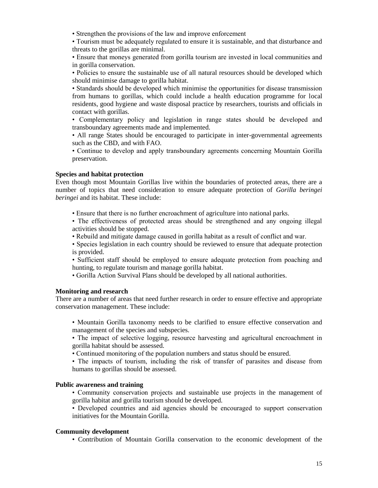• Strengthen the provisions of the law and improve enforcement

• Tourism must be adequately regulated to ensure it is sustainable, and that disturbance and threats to the gorillas are minimal.

• Ensure that moneys generated from gorilla tourism are invested in local communities and in gorilla conservation.

• Policies to ensure the sustainable use of all natural resources should be developed which should minimise damage to gorilla habitat.

• Standards should be developed which minimise the opportunities for disease transmission from humans to gorillas, which could include a health education programme for local residents, good hygiene and waste disposal practice by researchers, tourists and officials in contact with gorillas.

• Complementary policy and legislation in range states should be developed and transboundary agreements made and implemented.

• All range States should be encouraged to participate in inter-governmental agreements such as the CBD, and with FAO.

• Continue to develop and apply transboundary agreements concerning Mountain Gorilla preservation.

#### **Species and habitat protection**

Even though most Mountain Gorillas live within the boundaries of protected areas, there are a number of topics that need consideration to ensure adequate protection of *Gorilla beringei beringei* and its habitat. These include:

• Ensure that there is no further encroachment of agriculture into national parks.

• The effectiveness of protected areas should be strengthened and any ongoing illegal activities should be stopped.

• Rebuild and mitigate damage caused in gorilla habitat as a result of conflict and war.

• Species legislation in each country should be reviewed to ensure that adequate protection is provided.

• Sufficient staff should be employed to ensure adequate protection from poaching and hunting, to regulate tourism and manage gorilla habitat.

• Gorilla Action Survival Plans should be developed by all national authorities.

#### **Monitoring and research**

There are a number of areas that need further research in order to ensure effective and appropriate conservation management. These include:

• Mountain Gorilla taxonomy needs to be clarified to ensure effective conservation and management of the species and subspecies.

• The impact of selective logging, resource harvesting and agricultural encroachment in gorilla habitat should be assessed.

• Continued monitoring of the population numbers and status should be ensured.

• The impacts of tourism, including the risk of transfer of parasites and disease from humans to gorillas should be assessed.

#### **Public awareness and training**

• Community conservation projects and sustainable use projects in the management of gorilla habitat and gorilla tourism should be developed.

• Developed countries and aid agencies should be encouraged to support conservation initiatives for the Mountain Gorilla.

#### **Community development**

• Contribution of Mountain Gorilla conservation to the economic development of the